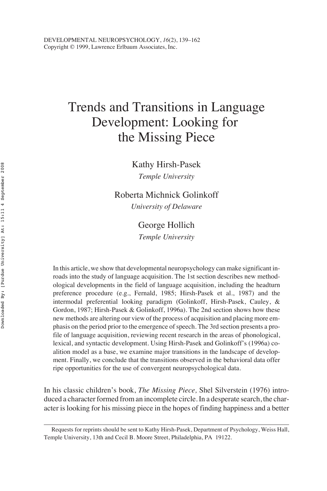# Trends and Transitions in Language Development: Looking for the Missing Piece

Kathy Hirsh-Pasek *Temple University*

Roberta Michnick Golinkoff *University of Delaware*

> George Hollich *Temple University*

In this article, we show that developmental neuropsychology can make significant inroads into the study of language acquisition. The 1st section describes new methodological developments in the field of language acquisition, including the headturn preference procedure (e.g., Fernald, 1985; Hirsh-Pasek et al., 1987) and the intermodal preferential looking paradigm (Golinkoff, Hirsh-Pasek, Cauley, & Gordon, 1987; Hirsh-Pasek & Golinkoff, 1996a). The 2nd section shows how these new methods are altering our view of the process of acquisition and placing more emphasis on the period prior to the emergence of speech. The 3rd section presents a profile of language acquisition, reviewing recent research in the areas of phonological, lexical, and syntactic development. Using Hirsh-Pasek and Golinkoff's (1996a) coalition model as a base, we examine major transitions in the landscape of development. Finally, we conclude that the transitions observed in the behavioral data offer ripe opportunities for the use of convergent neuropsychological data.

In his classic children's book, *The Missing Piece,* Shel Silverstein (1976) introduced a character formed from an incomplete circle. In a desperate search, the character is looking for his missing piece in the hopes of finding happiness and a better

Requests for reprints should be sent to Kathy Hirsh-Pasek, Department of Psychology, Weiss Hall, Temple University, 13th and Cecil B. Moore Street, Philadelphia, PA 19122.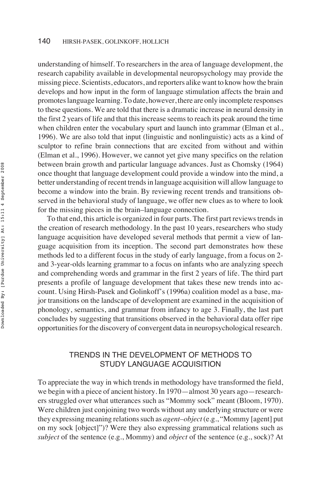understanding of himself. To researchers in the area of language development, the research capability available in developmental neuropsychology may provide the missing piece. Scientists, educators, and reporters alike want to know how the brain develops and how input in the form of language stimulation affects the brain and promotes language learning. To date, however, there are only incomplete responses to these questions. We are told that there is a dramatic increase in neural density in the first 2 years of life and that this increase seems to reach its peak around the time when children enter the vocabulary spurt and launch into grammar (Elman et al., 1996). We are also told that input (linguistic and nonlinguistic) acts as a kind of sculptor to refine brain connections that are excited from without and within (Elman et al., 1996). However, we cannot yet give many specifics on the relation between brain growth and particular language advances. Just as Chomsky (1964) once thought that language development could provide a window into the mind, a better understanding of recent trends in language acquisition will allow language to become a window into the brain. By reviewing recent trends and transitions observed in the behavioral study of language, we offer new clues as to where to look for the missing pieces in the brain–language connection.

To that end, this article is organized in four parts. The first part reviews trends in the creation of research methodology. In the past 10 years, researchers who study language acquisition have developed several methods that permit a view of language acquisition from its inception. The second part demonstrates how these methods led to a different focus in the study of early language, from a focus on 2 and 3-year-olds learning grammar to a focus on infants who are analyzing speech and comprehending words and grammar in the first 2 years of life. The third part presents a profile of language development that takes these new trends into account. Using Hirsh-Pasek and Golinkoff's (1996a) coalition model as a base, major transitions on the landscape of development are examined in the acquisition of phonology, semantics, and grammar from infancy to age 3. Finally, the last part concludes by suggesting that transitions observed in the behavioral data offer ripe opportunities for the discovery of convergent data in neuropsychological research.

# TRENDS IN THE DEVELOPMENT OF METHODS TO STUDY LANGUAGE ACQUISITION

To appreciate the way in which trends in methodology have transformed the field, we begin with a piece of ancient history. In 1970—almost 30 years ago—researchers struggled over what utterances such as "Mommy sock" meant (Bloom, 1970). Were children just conjoining two words without any underlying structure or were they expressing meaning relations such as *agent–object*(e.g., "Mommy [agent] put on my sock [object]")? Were they also expressing grammatical relations such as *subject* of the sentence (e.g., Mommy) and *object* of the sentence (e.g., sock)? At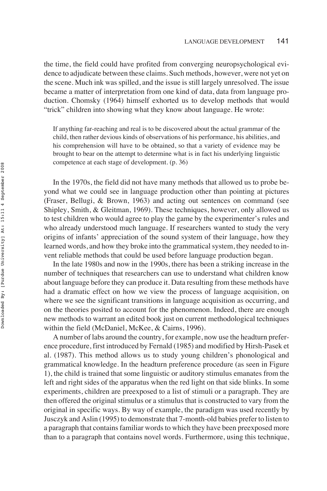the time, the field could have profited from converging neuropsychological evidence to adjudicate between these claims. Such methods, however, were not yet on the scene. Much ink was spilled, and the issue is still largely unresolved. The issue became a matter of interpretation from one kind of data, data from language production. Chomsky (1964) himself exhorted us to develop methods that would "trick" children into showing what they know about language. He wrote:

If anything far-reaching and real is to be discovered about the actual grammar of the child, then rather devious kinds of observations of his performance, his abilities, and his comprehension will have to be obtained, so that a variety of evidence may be brought to bear on the attempt to determine what is in fact his underlying linguistic competence at each stage of development. (p. 36)

In the 1970s, the field did not have many methods that allowed us to probe beyond what we could see in language production other than pointing at pictures (Fraser, Bellugi, & Brown, 1963) and acting out sentences on command (see Shipley, Smith, & Gleitman, 1969). These techniques, however, only allowed us to test children who would agree to play the game by the experimenter's rules and who already understood much language. If researchers wanted to study the very origins of infants' appreciation of the sound system of their language, how they learned words, and how they broke into the grammatical system, they needed to invent reliable methods that could be used before language production began.

In the late 1980s and now in the 1990s, there has been a striking increase in the number of techniques that researchers can use to understand what children know about language before they can produce it. Data resulting from these methods have had a dramatic effect on how we view the process of language acquisition, on where we see the significant transitions in language acquisition as occurring, and on the theories posited to account for the phenomenon. Indeed, there are enough new methods to warrant an edited book just on current methodological techniques within the field (McDaniel, McKee, & Cairns, 1996).

A number of labs around the country, for example, now use the headturn preference procedure, first introduced by Fernald (1985) and modified by Hirsh-Pasek et al. (1987). This method allows us to study young children's phonological and grammatical knowledge. In the headturn preference procedure (as seen in Figure 1), the child is trained that some linguistic or auditory stimulus emanates from the left and right sides of the apparatus when the red light on that side blinks. In some experiments, children are preexposed to a list of stimuli or a paragraph. They are then offered the original stimulus or a stimulus that is constructed to vary from the original in specific ways. By way of example, the paradigm was used recently by Jusczyk and Aslin (1995) to demonstrate that 7-month-old babies prefer to listen to a paragraph that contains familiar words to which they have been preexposed more than to a paragraph that contains novel words. Furthermore, using this technique,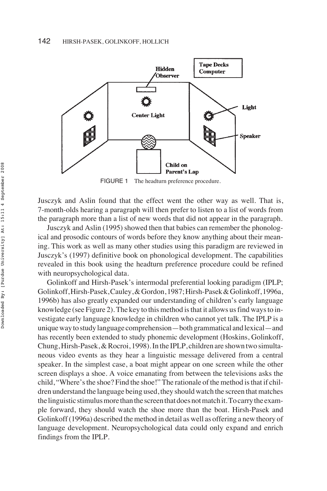

FIGURE 1 The headturn preference procedure.

Jusczyk and Aslin found that the effect went the other way as well. That is, 7-month-olds hearing a paragraph will then prefer to listen to a list of words from the paragraph more than a list of new words that did not appear in the paragraph.

Jusczyk and Aslin (1995) showed then that babies can remember the phonological and prosodic contours of words before they know anything about their meaning. This work as well as many other studies using this paradigm are reviewed in Jusczyk's (1997) definitive book on phonological development. The capabilities revealed in this book using the headturn preference procedure could be refined with neuropsychological data.

Golinkoff and Hirsh-Pasek's intermodal preferential looking paradigm (IPLP; Golinkoff,Hirsh-Pasek,Cauley,&Gordon,1987;Hirsh-Pasek&Golinkoff,1996a, 1996b) has also greatly expanded our understanding of children's early language knowledge (see Figure 2). The key to this method is that it allows us find ways to investigate early language knowledge in children who cannot yet talk. The IPLP is a unique way to study language comprehension—both grammatical and lexical—and has recently been extended to study phonemic development (Hoskins, Golinkoff, Chung, Hirsh-Pasek, & Rocroi, 1998). In the IPLP, children are shown two simultaneous video events as they hear a linguistic message delivered from a central speaker. In the simplest case, a boat might appear on one screen while the other screen displays a shoe. A voice emanating from between the televisions asks the child, "Where's the shoe? Find the shoe!" The rationale of the method is that if children understand the language being used, they should watch the screen that matches the linguistic stimulus more than the screen that does not match it. To carry the example forward, they should watch the shoe more than the boat. Hirsh-Pasek and Golinkoff (1996a) described the method in detail as well as offering a new theory of language development. Neuropsychological data could only expand and enrich findings from the IPLP.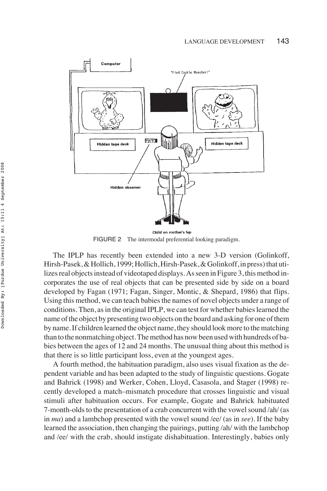

FIGURE 2 The intermodal preferential looking paradigm.

The IPLP has recently been extended into a new 3-D version (Golinkoff, Hirsh-Pasek, & Hollich, 1999; Hollich, Hirsh-Pasek, & Golinkoff, in press) that utilizes real objects instead of videotaped displays. As seen in Figure 3, this method incorporates the use of real objects that can be presented side by side on a board developed by Fagan (1971; Fagan, Singer, Montic, & Shepard, 1986) that flips. Using this method, we can teach babies the names of novel objects under a range of conditions. Then, as in the original IPLP, we can test for whether babies learned the name of the object by presenting two objects on the board and asking for one of them by name. If children learned the object name, they should look more to the matching than to the nonmatching object. The method has now been used with hundreds of babies between the ages of 12 and 24 months. The unusual thing about this method is that there is so little participant loss, even at the youngest ages.

A fourth method, the habituation paradigm, also uses visual fixation as the dependent variable and has been adapted to the study of linguistic questions. Gogate and Bahrick (1998) and Werker, Cohen, Lloyd, Casasola, and Stager (1998) recently developed a match–mismatch procedure that crosses linguistic and visual stimuli after habituation occurs. For example, Gogate and Bahrick habituated 7-month-olds to the presentation of a crab concurrent with the vowel sound /ah/ (as in *ma*) and a lambchop presented with the vowel sound /ee/ (as in *see*). If the baby learned the association, then changing the pairings, putting /ah/ with the lambchop and /ee/ with the crab, should instigate dishabituation. Interestingly, babies only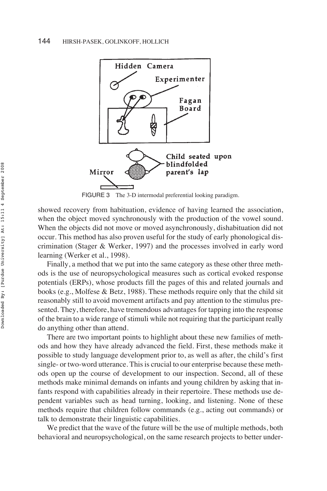

FIGURE 3 The 3-D intermodal preferential looking paradigm.

showed recovery from habituation, evidence of having learned the association, when the object moved synchronously with the production of the vowel sound. When the objects did not move or moved asynchronously, dishabituation did not occur. This method has also proven useful for the study of early phonological discrimination (Stager & Werker, 1997) and the processes involved in early word learning (Werker et al., 1998).

Finally, a method that we put into the same category as these other three methods is the use of neuropsychological measures such as cortical evoked response potentials (ERPs), whose products fill the pages of this and related journals and books (e.g., Molfese & Betz, 1988). These methods require only that the child sit reasonably still to avoid movement artifacts and pay attention to the stimulus presented. They, therefore, have tremendous advantages for tapping into the response of the brain to a wide range of stimuli while not requiring that the participant really do anything other than attend.

There are two important points to highlight about these new families of methods and how they have already advanced the field. First, these methods make it possible to study language development prior to, as well as after, the child's first single- or two-word utterance. This is crucial to our enterprise because these methods open up the course of development to our inspection. Second, all of these methods make minimal demands on infants and young children by asking that infants respond with capabilities already in their repertoire. These methods use dependent variables such as head turning, looking, and listening. None of these methods require that children follow commands (e.g., acting out commands) or talk to demonstrate their linguistic capabilities.

We predict that the wave of the future will be the use of multiple methods, both behavioral and neuropsychological, on the same research projects to better under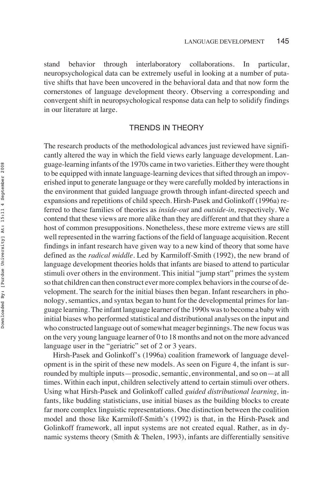stand behavior through interlaboratory collaborations. In particular, neuropsychological data can be extremely useful in looking at a number of putative shifts that have been uncovered in the behavioral data and that now form the cornerstones of language development theory. Observing a corresponding and convergent shift in neuropsychological response data can help to solidify findings in our literature at large.

### TRENDS IN THEORY

The research products of the methodological advances just reviewed have significantly altered the way in which the field views early language development. Language-learning infants of the 1970s came in two varieties. Either they were thought to be equipped with innate language-learning devices that sifted through an impoverished input to generate language or they were carefully molded by interactions in the environment that guided language growth through infant-directed speech and expansions and repetitions of child speech. Hirsh-Pasek and Golinkoff (1996a) referred to these families of theories as *inside-out* and *outside-in,* respectively. We contend that these views are more alike than they are different and that they share a host of common presuppositions. Nonetheless, these more extreme views are still well represented in the warring factions of the field of language acquisition. Recent findings in infant research have given way to a new kind of theory that some have defined as the *radical middle.* Led by Karmiloff-Smith (1992), the new brand of language development theories holds that infants are biased to attend to particular stimuli over others in the environment. This initial "jump start" primes the system so that children can then construct ever more complex behaviors in the course of development. The search for the initial biases then began. Infant researchers in phonology, semantics, and syntax began to hunt for the developmental primes for language learning. The infant language learner of the 1990s was to become a baby with initial biases who performed statistical and distributional analyses on the input and who constructed language out of somewhat meager beginnings. The new focus was on the very young language learner of 0 to 18 months and not on the more advanced language user in the "geriatric" set of 2 or 3 years.

Hirsh-Pasek and Golinkoff's (1996a) coalition framework of language development is in the spirit of these new models. As seen on Figure 4, the infant is surrounded by multiple inputs—prosodic, semantic, environmental, and so on—at all times. Within each input, children selectively attend to certain stimuli over others. Using what Hirsh-Pasek and Golinkoff called *guided distributional learning,* infants, like budding statisticians, use initial biases as the building blocks to create far more complex linguistic representations. One distinction between the coalition model and those like Karmiloff-Smith's (1992) is that, in the Hirsh-Pasek and Golinkoff framework, all input systems are not created equal. Rather, as in dynamic systems theory (Smith & Thelen, 1993), infants are differentially sensitive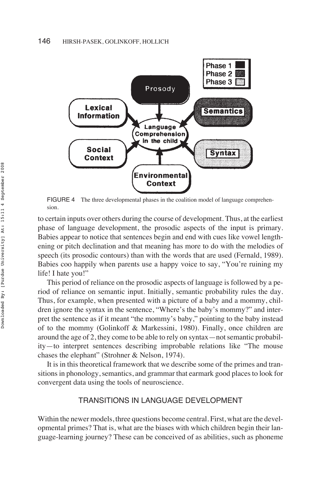

FIGURE 4 The three developmental phases in the coalition model of language comprehension.

to certain inputs over others during the course of development. Thus, at the earliest phase of language development, the prosodic aspects of the input is primary. Babies appear to notice that sentences begin and end with cues like vowel lengthening or pitch declination and that meaning has more to do with the melodies of speech (its prosodic contours) than with the words that are used (Fernald, 1989). Babies coo happily when parents use a happy voice to say, "You're ruining my life! I hate you!"

This period of reliance on the prosodic aspects of language is followed by a period of reliance on semantic input. Initially, semantic probability rules the day. Thus, for example, when presented with a picture of a baby and a mommy, children ignore the syntax in the sentence, "Where's the baby's mommy?" and interpret the sentence as if it meant "the mommy's baby," pointing to the baby instead of to the mommy (Golinkoff & Markessini, 1980). Finally, once children are around the age of 2, they come to be able to rely on syntax—not semantic probability—to interpret sentences describing improbable relations like "The mouse chases the elephant" (Strohner & Nelson, 1974).

It is in this theoretical framework that we describe some of the primes and transitions in phonology, semantics, and grammar that earmark good places to look for convergent data using the tools of neuroscience.

### TRANSITIONS IN LANGUAGE DEVELOPMENT

Within the newer models, three questions become central. First, what are the developmental primes? That is, what are the biases with which children begin their language-learning journey? These can be conceived of as abilities, such as phoneme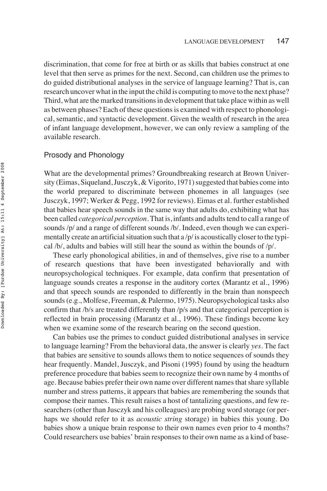discrimination, that come for free at birth or as skills that babies construct at one level that then serve as primes for the next. Second, can children use the primes to do guided distributional analyses in the service of language learning? That is, can research uncover what in the input the child is computing to move to the next phase? Third, what are the marked transitions in development that take place within as well as between phases? Each of these questions is examined with respect to phonological, semantic, and syntactic development. Given the wealth of research in the area of infant language development, however, we can only review a sampling of the available research.

## Prosody and Phonology

What are the developmental primes? Groundbreaking research at Brown University (Eimas, Siqueland, Jusczyk, & Vigorito, 1971) suggested that babies come into the world prepared to discriminate between phonemes in all languages (see Jusczyk, 1997; Werker & Pegg, 1992 for reviews). Eimas et al. further established that babies hear speech sounds in the same way that adults do, exhibiting what has been called *categorical perception.* That is, infants and adults tend to call a range of sounds /p/ and a range of different sounds /b/. Indeed, even though we can experimentally create an artificial situation such that  $a/p$  is acoustically closer to the typical /b/, adults and babies will still hear the sound as within the bounds of /p/.

These early phonological abilities, in and of themselves, give rise to a number of research questions that have been investigated behaviorally and with neuropsychological techniques. For example, data confirm that presentation of language sounds creates a response in the auditory cortex (Marantz et al., 1996) and that speech sounds are responded to differently in the brain than nonspeech sounds (e.g., Molfese, Freeman, & Palermo, 1975). Neuropsychological tasks also confirm that /b/s are treated differently than /p/s and that categorical perception is reflected in brain processing (Marantz et al., 1996). These findings become key when we examine some of the research bearing on the second question.

Can babies use the primes to conduct guided distributional analyses in service to language learning? From the behavioral data, the answer is clearly *yes.* The fact that babies are sensitive to sounds allows them to notice sequences of sounds they hear frequently. Mandel, Jusczyk, and Pisoni (1995) found by using the headturn preference procedure that babies seem to recognize their own name by 4 months of age. Because babies prefer their own name over different names that share syllable number and stress patterns, it appears that babies are remembering the sounds that compose their names. This result raises a host of tantalizing questions, and few researchers (other than Jusczyk and his colleagues) are probing word storage (or perhaps we should refer to it as *acoustic string* storage) in babies this young. Do babies show a unique brain response to their own names even prior to 4 months? Could researchers use babies' brain responses to their own name as a kind of base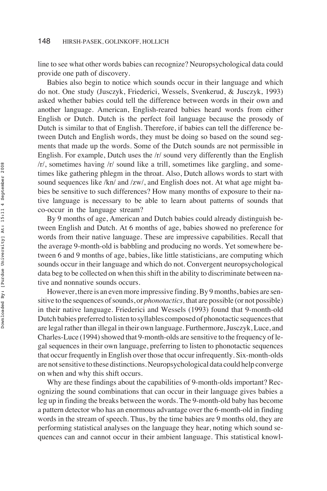line to see what other words babies can recognize? Neuropsychological data could provide one path of discovery.

Babies also begin to notice which sounds occur in their language and which do not. One study (Jusczyk, Friederici, Wessels, Svenkerud, & Jusczyk, 1993) asked whether babies could tell the difference between words in their own and another language. American, English-reared babies heard words from either English or Dutch. Dutch is the perfect foil language because the prosody of Dutch is similar to that of English. Therefore, if babies can tell the difference between Dutch and English words, they must be doing so based on the sound segments that made up the words. Some of the Dutch sounds are not permissible in English. For example, Dutch uses the /r/ sound very differently than the English /r/, sometimes having /r/ sound like a trill, sometimes like gargling, and sometimes like gathering phlegm in the throat. Also, Dutch allows words to start with sound sequences like /kn/ and /zw/, and English does not. At what age might babies be sensitive to such differences? How many months of exposure to their native language is necessary to be able to learn about patterns of sounds that co-occur in the language stream?

By 9 months of age, American and Dutch babies could already distinguish between English and Dutch. At 6 months of age, babies showed no preference for words from their native language. These are impressive capabilities. Recall that the average 9-month-old is babbling and producing no words. Yet somewhere between 6 and 9 months of age, babies, like little statisticians, are computing which sounds occur in their language and which do not. Convergent neuropsychological data beg to be collected on when this shift in the ability to discriminate between native and nonnative sounds occurs.

However, there is an even more impressive finding. By 9 months, babies are sensitive to the sequences of sounds, or *phonotactics,* that are possible (or not possible) in their native language. Friederici and Wessels (1993) found that 9-month-old Dutch babies preferred to listen to syllables composed of phonotactic sequences that are legal rather than illegal in their own language. Furthermore, Jusczyk, Luce, and Charles-Luce (1994) showed that 9-month-olds are sensitive to the frequency of legal sequences in their own language, preferring to listen to phonotactic sequences that occur frequently in English over those that occur infrequently. Six-month-olds are not sensitive to these distinctions. Neuropsychological data could help converge on when and why this shift occurs.

Why are these findings about the capabilities of 9-month-olds important? Recognizing the sound combinations that can occur in their language gives babies a leg up in finding the breaks between the words. The 9-month-old baby has become a pattern detector who has an enormous advantage over the 6-month-old in finding words in the stream of speech. Thus, by the time babies are 9 months old, they are performing statistical analyses on the language they hear, noting which sound sequences can and cannot occur in their ambient language. This statistical knowl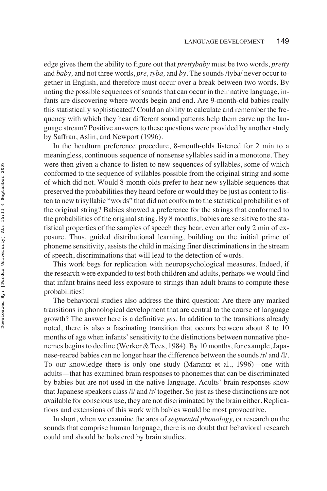edge gives them the ability to figure out that *prettybaby* must be two words, *pretty* and *baby,* and not three words, *pre, tyba,* and *by.* The sounds /tyba/ never occur together in English, and therefore must occur over a break between two words. By noting the possible sequences of sounds that can occur in their native language, infants are discovering where words begin and end. Are 9-month-old babies really this statistically sophisticated? Could an ability to calculate and remember the frequency with which they hear different sound patterns help them carve up the language stream? Positive answers to these questions were provided by another study by Saffran, Aslin, and Newport (1996).

In the headturn preference procedure, 8-month-olds listened for 2 min to a meaningless, continuous sequence of nonsense syllables said in a monotone. They were then given a chance to listen to new sequences of syllables, some of which conformed to the sequence of syllables possible from the original string and some of which did not. Would 8-month-olds prefer to hear new syllable sequences that preserved the probabilities they heard before or would they be just as content to listen to new trisyllabic "words" that did not conform to the statistical probabilities of the original string? Babies showed a preference for the strings that conformed to the probabilities of the original string. By 8 months, babies are sensitive to the statistical properties of the samples of speech they hear, even after only 2 min of exposure. Thus, guided distributional learning, building on the initial prime of phoneme sensitivity, assists the child in making finer discriminations in the stream of speech, discriminations that will lead to the detection of words.

This work begs for replication with neuropsychological measures. Indeed, if the research were expanded to test both children and adults, perhaps we would find that infant brains need less exposure to strings than adult brains to compute these probabilities!

The behavioral studies also address the third question: Are there any marked transitions in phonological development that are central to the course of language growth? The answer here is a definitive *yes.* In addition to the transitions already noted, there is also a fascinating transition that occurs between about 8 to 10 months of age when infants' sensitivity to the distinctions between nonnative phonemes begins to decline (Werker & Tees, 1984). By 10 months, for example, Japanese-reared babies can no longer hear the difference between the sounds /r/ and /l/. To our knowledge there is only one study (Marantz et al., 1996)—one with adults—that has examined brain responses to phonemes that can be discriminated by babies but are not used in the native language. Adults' brain responses show that Japanese speakers class /l/ and /r/ together. So just as these distinctions are not available for conscious use, they are not discriminated by the brain either. Replications and extensions of this work with babies would be most provocative.

In short, when we examine the area of *segmental phonology,* or research on the sounds that comprise human language, there is no doubt that behavioral research could and should be bolstered by brain studies.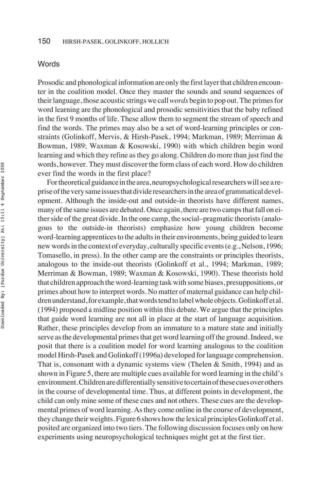#### Words

Prosodic and phonological information are only the first layer that children encounter in the coalition model. Once they master the sounds and sound sequences of their language, those acoustic strings we call*words* begin to pop out. The primes for word learning are the phonological and prosodic sensitivities that the baby refined in the first 9 months of life. These allow them to segment the stream of speech and find the words. The primes may also be a set of word-learning principles or constraints (Golinkoff, Mervis, & Hirsh-Pasek, 1994; Markman, 1989; Merriman & Bowman, 1989; Waxman & Kosowski, 1990) with which children begin word learning and which they refine as they go along. Children do more than just find the words, however. They must discover the form class of each word. How do children ever find the words in the first place?

For theoretical guidance in the area, neuropsychological researchers will see a repriseoftheverysameissuesthatdivideresearchersintheareaofgrammaticaldevelopment. Although the inside-out and outside-in theorists have different names, many of the same issues are debated. Once again, there are two camps that fall on either side of the great divide. In the one camp, the social–pragmatic theorists (analogous to the outside-in theorists) emphasize how young children become word-learning apprentices to the adults in their environments, being guided to learn new words in the context of everyday, culturally specific events (e.g., Nelson, 1996; Tomasello, in press). In the other camp are the constraints or principles theorists, analogous to the inside-out theorists (Golinkoff et al., 1994; Markman, 1989; Merriman & Bowman, 1989; Waxman & Kosowski, 1990). These theorists hold that children approach the word-learning task with some biases, presuppositions, or primes about how to interpret words. No matter of maternal guidance can help children understand, for example, that words tend to label whole objects. Golinkoff et al. (1994) proposed a midline position within this debate. We argue that the principles that guide word learning are not all in place at the start of language acquisition. Rather, these principles develop from an immature to a mature state and initially serve as the developmental primes that get word learning off the ground. Indeed, we posit that there is a coalition model for word learning analogous to the coalition model Hirsh-Pasek and Golinkoff (1996a) developed for language comprehension. That is, consonant with a dynamic systems view (Thelen & Smith, 1994) and as shown in Figure 5, there are multiple cues available for word learning in the child's environment.Childrenaredifferentiallysensitivetocertainofthesecuesoverothers in the course of developmental time. Thus, at different points in development, the child can only mine some of these cues and not others. These cues are the developmental primes of word learning. As they come online in the course of development, they change their weights. Figure 6 shows how the lexical principles Golinkoff et al. posited are organized into two tiers. The following discussion focuses only on how experiments using neuropsychological techniques might get at the first tier.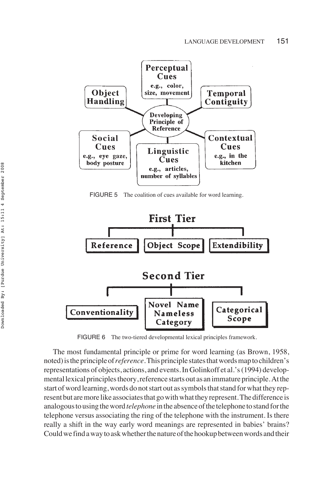

FIGURE 5 The coalition of cues available for word learning.



FIGURE 6 The two-tiered developmental lexical principles framework.

The most fundamental principle or prime for word learning (as Brown, 1958, noted)istheprincipleof*reference.*Thisprinciplestatesthatwordsmaptochildren's representations of objects, actions, and events. In Golinkoff et al.'s (1994) developmental lexical principles theory, reference starts out as an immature principle. At the start of word learning, words do not start out as symbols that stand for what they represent but are more like associates that go with what they represent. The difference is analogous to using the word *telephone* in the absence of the telephone to stand for the telephone versus associating the ring of the telephone with the instrument. Is there really a shift in the way early word meanings are represented in babies' brains? Could we find a way to ask whether the nature of the hookup between words and their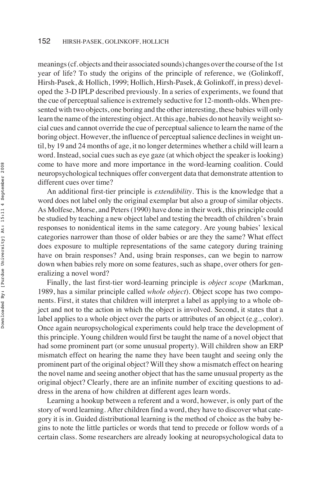meanings (cf. objects and their associated sounds) changes over the course of the 1st year of life? To study the origins of the principle of reference, we (Golinkoff, Hirsh-Pasek, & Hollich, 1999; Hollich, Hirsh-Pasek, & Golinkoff, in press) developed the 3-D IPLP described previously. In a series of experiments, we found that the cue of perceptual salience is extremely seductive for 12-month-olds. When presented with two objects, one boring and the other interesting, these babies will only learn the name of the interesting object. At this age, babies do not heavily weight social cues and cannot override the cue of perceptual salience to learn the name of the boring object. However, the influence of perceptual salience declines in weight until, by 19 and 24 months of age, it no longer determines whether a child will learn a word. Instead, social cues such as eye gaze (at which object the speaker is looking) come to have more and more importance in the word-learning coalition. Could neuropsychological techniques offer convergent data that demonstrate attention to different cues over time?

An additional first-tier principle is *extendibility*. This is the knowledge that a word does not label only the original exemplar but also a group of similar objects. As Molfese, Morse, and Peters (1990) have done in their work, this principle could be studied by teaching a new object label and testing the breadth of children's brain responses to nonidentical items in the same category. Are young babies' lexical categories narrower than those of older babies or are they the same? What effect does exposure to multiple representations of the same category during training have on brain responses? And, using brain responses, can we begin to narrow down when babies rely more on some features, such as shape, over others for generalizing a novel word?

Finally, the last first-tier word-learning principle is *object scope* (Markman, 1989, has a similar principle called *whole object*). Object scope has two components. First, it states that children will interpret a label as applying to a whole object and not to the action in which the object is involved. Second, it states that a label applies to a whole object over the parts or attributes of an object (e.g., color). Once again neuropsychological experiments could help trace the development of this principle. Young children would first be taught the name of a novel object that had some prominent part (or some unusual property). Will children show an ERP mismatch effect on hearing the name they have been taught and seeing only the prominent part of the original object? Will they show a mismatch effect on hearing the novel name and seeing another object that has the same unusual property as the original object? Clearly, there are an infinite number of exciting questions to address in the arena of how children at different ages learn words.

Learning a hookup between a referent and a word, however, is only part of the story of word learning. After children find a word, they have to discover what category it is in. Guided distributional learning is the method of choice as the baby begins to note the little particles or words that tend to precede or follow words of a certain class. Some researchers are already looking at neuropsychological data to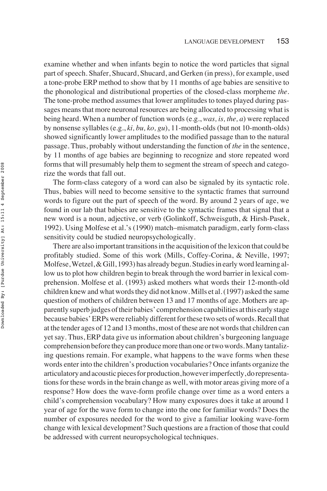examine whether and when infants begin to notice the word particles that signal part of speech. Shafer, Shucard, Shucard, and Gerken (in press), for example, used a tone-probe ERP method to show that by 11 months of age babies are sensitive to the phonological and distributional properties of the closed-class morpheme *the.* The tone-probe method assumes that lower amplitudes to tones played during passages means that more neuronal resources are being allocated to processing what is being heard. When a number of function words (e.g., *was, is, the, a*) were replaced by nonsense syllables (e.g., *ki, bu, ko, gu*), 11-month-olds (but not 10-month-olds) showed significantly lower amplitudes to the modified passage than to the natural passage. Thus, probably without understanding the function of *the* in the sentence, by 11 months of age babies are beginning to recognize and store repeated word forms that will presumably help them to segment the stream of speech and categorize the words that fall out.

The form-class category of a word can also be signaled by its syntactic role. Thus, babies will need to become sensitive to the syntactic frames that surround words to figure out the part of speech of the word. By around 2 years of age, we found in our lab that babies are sensitive to the syntactic frames that signal that a new word is a noun, adjective, or verb (Golinkoff, Schweisguth, & Hirsh-Pasek, 1992). Using Molfese et al.'s (1990) match–mismatch paradigm, early form-class sensitivity could be studied neuropsychologically.

There are also important transitions in the acquisition of the lexicon that could be profitably studied. Some of this work (Mills, Coffey-Corina, & Neville, 1997; Molfese, Wetzel, & Gill, 1993) has already begun. Studies in early word learning allow us to plot how children begin to break through the word barrier in lexical comprehension. Molfese et al. (1993) asked mothers what words their 12-month-old children knew and what words they did not know. Mills et al. (1997) asked the same question of mothers of children between 13 and 17 months of age. Mothers are apparently superb judges of their babies' comprehension capabilities at this early stage because babies' ERPs were reliably different for these two sets of words. Recall that at the tender ages of 12 and 13 months, most of these are not words that children can yet say. Thus, ERP data give us information about children's burgeoning language comprehension before they can produce more than one or two words. Many tantalizing questions remain. For example, what happens to the wave forms when these words enter into the children's production vocabularies? Once infants organize the articulatory and acoustic pieces for production, however imperfectly, do representations for these words in the brain change as well, with motor areas giving more of a response? How does the wave-form profile change over time as a word enters a child's comprehension vocabulary? How many exposures does it take at around 1 year of age for the wave form to change into the one for familiar words? Does the number of exposures needed for the word to give a familiar looking wave-form change with lexical development? Such questions are a fraction of those that could be addressed with current neuropsychological techniques.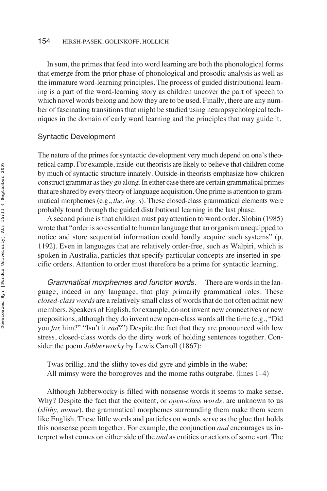#### 154 HIRSH-PASEK, GOLINKOFF, HOLLICH

In sum, the primes that feed into word learning are both the phonological forms that emerge from the prior phase of phonological and prosodic analysis as well as the immature word-learning principles. The process of guided distributional learning is a part of the word-learning story as children uncover the part of speech to which novel words belong and how they are to be used. Finally, there are any number of fascinating transitions that might be studied using neuropsychological techniques in the domain of early word learning and the principles that may guide it.

#### Syntactic Development

The nature of the primes forsyntactic development very much depend on one's theoretical camp. For example, inside-out theorists are likely to believe that children come by much of syntactic structure innately. Outside-in theorists emphasize how children construct grammar as they go along. In either case there are certain grammatical primes that are shared by every theory of language acquisition. One prime is attention to grammatical morphemes (e.g., *the, ing, s*). These closed-class grammatical elements were probably found through the guided distributional learning in the last phase.

A second prime is that children must pay attention to word order. Slobin (1985) wrote that "order is so essential to human language that an organism unequipped to notice and store sequential information could hardly acquire such systems" (p. 1192). Even in languages that are relatively order-free, such as Walpiri, which is spoken in Australia, particles that specify particular concepts are inserted in specific orders. Attention to order must therefore be a prime for syntactic learning.

Grammatical morphemes and functor words*.* There are words in the language, indeed in any language, that play primarily grammatical roles. These *closed-class words* are a relatively small class of words that do not often admit new members. Speakers of English, for example, do not invent new connectives or new prepositions, although they do invent new open-class words all the time (e.g., "Did you *fax* him?" "Isn't it *rad*?") Despite the fact that they are pronounced with low stress, closed-class words do the dirty work of holding sentences together. Consider the poem *Jabberwocky* by Lewis Carroll (1867):

Twas brillig, and the slithy toves did gyre and gimble in the wabe: All mimsy were the borogroves and the mome raths outgrabe. (lines 1–4)

Although Jabberwocky is filled with nonsense words it seems to make sense. Why? Despite the fact that the content, or *open-class words,* are unknown to us (*slithy, mome*), the grammatical morphemes surrounding them make them seem like English. These little words and particles on words serve as the glue that holds this nonsense poem together. For example, the conjunction *and* encourages us interpret what comes on either side of the *and* as entities or actions of some sort. The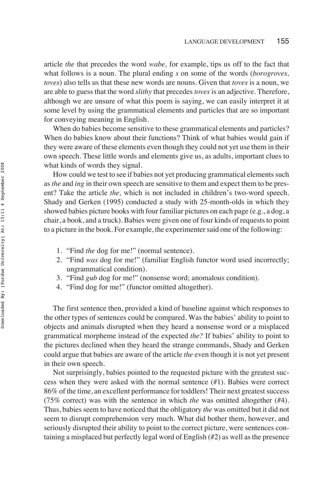article *the* that precedes the word *wabe,* for example, tips us off to the fact that what follows is a noun. The plural ending *s* on some of the words (*borogroves, toves*) also tells us that these new words are nouns. Given that *toves* is a noun, we are able to guess that the word *slithy* that precedes *toves* is an adjective. Therefore, although we are unsure of what this poem is saying, we can easily interpret it at some level by using the grammatical elements and particles that are so important for conveying meaning in English.

When do babies become sensitive to these grammatical elements and particles? When do babies know about their functions? Think of what babies would gain if they were aware of these elements even though they could not yet use them in their own speech. These little words and elements give us, as adults, important clues to what kinds of words they signal.

How could we test to see if babies not yet producing grammatical elements such as*the* and *ing* in their own speech are sensitive to them and expect them to be present? Take the article *the,* which is not included in children's two-word speech. Shady and Gerken (1995) conducted a study with 25-month-olds in which they showed babies picture books with four familiar pictures on each page (e.g., a dog, a chair, a book, and a truck). Babies were given one of four kinds of requests to point to a picture in the book. For example, the experimenter said one of the following:

- 1. "Find *the* dog for me!" (normal sentence).
- 2. "Find *was* dog for me!" (familiar English functor word used incorrectly; ungrammatical condition).
- 3. "Find *gub* dog for me!" (nonsense word; anomalous condition).
- 4. "Find dog for me!" (functor omitted altogether).

The first sentence then, provided a kind of baseline against which responses to the other types of sentences could be compared. Was the babies' ability to point to objects and animals disrupted when they heard a nonsense word or a misplaced grammatical morpheme instead of the expected *the?* If babies' ability to point to the pictures declined when they heard the strange commands, Shady and Gerken could argue that babies are aware of the article *the* even though it is not yet present in their own speech.

Not surprisingly, babies pointed to the requested picture with the greatest success when they were asked with the normal sentence (#1). Babies were correct 86% of the time, an excellent performance for toddlers! Their next greatest success (75% correct) was with the sentence in which *the* was omitted altogether (#4). Thus, babies seem to have noticed that the obligatory *the* was omitted but it did not seem to disrupt comprehension very much. What did bother them, however, and seriously disrupted their ability to point to the correct picture, were sentences containing a misplaced but perfectly legal word of English (#2) as well as the presence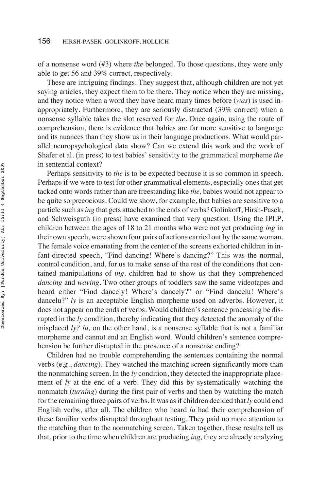of a nonsense word (#3) where *the* belonged. To those questions, they were only able to get 56 and 39% correct, respectively.

These are intriguing findings. They suggest that, although children are not yet saying articles, they expect them to be there. They notice when they are missing, and they notice when a word they have heard many times before (*was*) is used inappropriately. Furthermore, they are seriously distracted (39% correct) when a nonsense syllable takes the slot reserved for *the.* Once again, using the route of comprehension, there is evidence that babies are far more sensitive to language and its nuances than they show us in their language productions. What would parallel neuropsychological data show? Can we extend this work and the work of Shafer et al. (in press) to test babies' sensitivity to the grammatical morpheme *the* in sentential context?

Perhaps sensitivity to *the* is to be expected because it is so common in speech. Perhaps if we were to test for other grammatical elements, especially ones that get tacked onto words rather than are freestanding like *the,* babies would not appear to be quite so precocious. Could we show, for example, that babies are sensitive to a particle such as*ing* that gets attached to the ends of verbs? Golinkoff, Hirsh-Pasek, and Schweisguth (in press) have examined that very question. Using the IPLP, children between the ages of 18 to 21 months who were not yet producing *ing* in their own speech, were shown four pairs of actions carried out by the same woman. The female voice emanating from the center of the screens exhorted children in infant-directed speech, "Find dancing! Where's dancing?" This was the normal, control condition, and, for us to make sense of the rest of the conditions that contained manipulations of *ing,* children had to show us that they comprehended *dancing* and *waving.* Two other groups of toddlers saw the same videotapes and heard either "Find dancely! Where's dancely?" or "Find dancelu! Where's dancelu?" *ly* is an acceptable English morpheme used on adverbs. However, it does not appear on the ends of verbs. Would children's sentence processing be disrupted in the *ly* condition, thereby indicating that they detected the anomaly of the misplaced *?*  $*lu*$ *, on the other hand, is a nonsense syllable that is not a familiar* morpheme and cannot end an English word. Would children's sentence comprehension be further disrupted in the presence of a nonsense ending?

Children had no trouble comprehending the sentences containing the normal verbs (e.g., *dancing*). They watched the matching screen significantly more than the nonmatching screen. In the *ly* condition, they detected the inappropriate placement of *ly* at the end of a verb. They did this by systematically watching the nonmatch (*turning*) during the first pair of verbs and then by watching the match for the remaining three pairs of verbs. It was as if children decided that *ly* could end English verbs, after all. The children who heard *lu* had their comprehension of these familiar verbs disrupted throughout testing. They paid no more attention to the matching than to the nonmatching screen. Taken together, these results tell us that, prior to the time when children are producing *ing,* they are already analyzing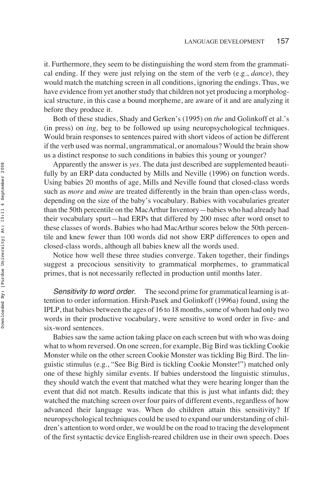it. Furthermore, they seem to be distinguishing the word stem from the grammatical ending. If they were just relying on the stem of the verb (e.g., *dance*), they would match the matching screen in all conditions, ignoring the endings. Thus, we have evidence from yet another study that children not yet producing a morphological structure, in this case a bound morpheme, are aware of it and are analyzing it before they produce it.

Both of these studies, Shady and Gerken's (1995) on *the* and Golinkoff et al.'s (in press) on *ing,* beg to be followed up using neuropsychological techniques. Would brain responses to sentences paired with short videos of action be different if the verb used was normal, ungrammatical, or anomalous? Would the brain show us a distinct response to such conditions in babies this young or younger?

Apparently the answer is *yes.* The data just described are supplemented beautifully by an ERP data conducted by Mills and Neville (1996) on function words. Using babies 20 months of age, Mills and Neville found that closed-class words such as *more* and *mine* are treated differently in the brain than open-class words, depending on the size of the baby's vocabulary. Babies with vocabularies greater than the 50th percentile on the MacArthur Inventory—babies who had already had their vocabulary spurt—had ERPs that differed by 200 msec after word onset to these classes of words. Babies who had MacArthur scores below the 50th percentile and knew fewer than 100 words did not show ERP differences to open and closed-class words, although all babies knew all the words used.

Notice how well these three studies converge. Taken together, their findings suggest a precocious sensitivity to grammatical morphemes, to grammatical primes, that is not necessarily reflected in production until months later.

Sensitivity to word order. The second prime for grammatical learning is attention to order information. Hirsh-Pasek and Golinkoff (1996a) found, using the IPLP, that babies between the ages of 16 to 18 months, some of whom had only two words in their productive vocabulary, were sensitive to word order in five- and six-word sentences.

Babies saw the same action taking place on each screen but with who was doing what to whom reversed. On one screen, for example, Big Bird was tickling Cookie Monster while on the other screen Cookie Monster was tickling Big Bird. The linguistic stimulus (e.g., "See Big Bird is tickling Cookie Monster!") matched only one of these highly similar events. If babies understood the linguistic stimulus, they should watch the event that matched what they were hearing longer than the event that did not match. Results indicate that this is just what infants did; they watched the matching screen over four pairs of different events, regardless of how advanced their language was. When do children attain this sensitivity? If neuropsychological techniques could be used to expand our understanding of children's attention to word order, we would be on the road to tracing the development of the first syntactic device English-reared children use in their own speech. Does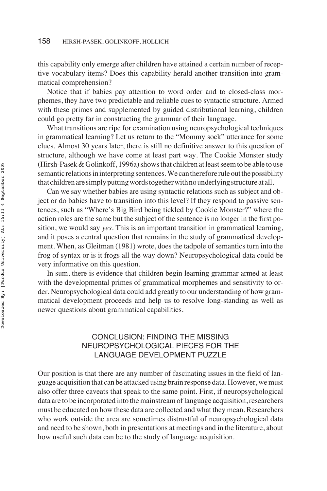this capability only emerge after children have attained a certain number of receptive vocabulary items? Does this capability herald another transition into grammatical comprehension?

Notice that if babies pay attention to word order and to closed-class morphemes, they have two predictable and reliable cues to syntactic structure. Armed with these primes and supplemented by guided distributional learning, children could go pretty far in constructing the grammar of their language.

What transitions are ripe for examination using neuropsychological techniques in grammatical learning? Let us return to the "Mommy sock" utterance for some clues. Almost 30 years later, there is still no definitive answer to this question of structure, although we have come at least part way. The Cookie Monster study (Hirsh-Pasek & Golinkoff, 1996a) shows that children at least seem to be able to use semantic relations in interpreting sentences. We can therefore rule out the possibility that children are simply putting words together with no underlying structure at all.

Can we say whether babies are using syntactic relations such as subject and object or do babies have to transition into this level? If they respond to passive sentences, such as "Where's Big Bird being tickled by Cookie Monster?" where the action roles are the same but the subject of the sentence is no longer in the first position, we would say *yes.* This is an important transition in grammatical learning, and it poses a central question that remains in the study of grammatical development. When, as Gleitman (1981) wrote, does the tadpole of semantics turn into the frog of syntax or is it frogs all the way down? Neuropsychological data could be very informative on this question.

In sum, there is evidence that children begin learning grammar armed at least with the developmental primes of grammatical morphemes and sensitivity to order. Neuropsychological data could add greatly to our understanding of how grammatical development proceeds and help us to resolve long-standing as well as newer questions about grammatical capabilities.

# CONCLUSION: FINDING THE MISSING NEUROPSYCHOLOGICAL PIECES FOR THE LANGUAGE DEVELOPMENT PUZZLE

Our position is that there are any number of fascinating issues in the field of language acquisition that can be attacked using brain response data. However, we must also offer three caveats that speak to the same point. First, if neuropsychological data are to be incorporated into the mainstream of language acquisition, researchers must be educated on how these data are collected and what they mean. Researchers who work outside the area are sometimes distrustful of neuropsychological data and need to be shown, both in presentations at meetings and in the literature, about how useful such data can be to the study of language acquisition.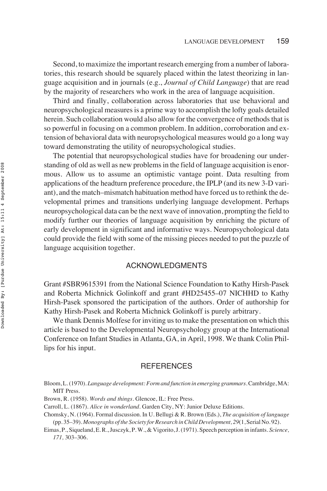Second, to maximize the important research emerging from a number of laboratories, this research should be squarely placed within the latest theorizing in language acquisition and in journals (e.g., *Journal of Child Language*) that are read by the majority of researchers who work in the area of language acquisition.

Third and finally, collaboration across laboratories that use behavioral and neuropsychological measures is a prime way to accomplish the lofty goals detailed herein. Such collaboration would also allow for the convergence of methods that is so powerful in focusing on a common problem. In addition, corroboration and extension of behavioral data with neuropsychological measures would go a long way toward demonstrating the utility of neuropsychological studies.

The potential that neuropsychological studies have for broadening our understanding of old as well as new problems in the field of language acquisition is enormous. Allow us to assume an optimistic vantage point. Data resulting from applications of the headturn preference procedure, the IPLP (and its new 3-D variant), and the match–mismatch habituation method have forced us to rethink the developmental primes and transitions underlying language development. Perhaps neuropsychological data can be the next wave of innovation, prompting the field to modify further our theories of language acquisition by enriching the picture of early development in significant and informative ways. Neuropsychological data could provide the field with some of the missing pieces needed to put the puzzle of language acquisition together.

### ACKNOWLEDGMENTS

Grant #SBR9615391 from the National Science Foundation to Kathy Hirsh-Pasek and Roberta Michnick Golinkoff and grant #HD25455–07 NICHHD to Kathy Hirsh-Pasek sponsored the participation of the authors. Order of authorship for Kathy Hirsh-Pasek and Roberta Michnick Golinkoff is purely arbitrary.

We thank Dennis Molfese for inviting us to make the presentation on which this article is based to the Developmental Neuropsychology group at the International Conference on Infant Studies in Atlanta, GA, in April, 1998. We thank Colin Phillips for his input.

#### **REFERENCES**

Bloom, L. (1970). *Language development: Form and function in emerging grammars.*Cambridge, MA: MIT Press.

- Brown, R. (1958). *Words and things.* Glencoe, IL: Free Press.
- Carroll, L. (1867). *Alice in wonderland.* Garden City, NY: Junior Deluxe Editions.

Chomsky, N. (1964). Formal discussion. In U. Bellugi & R. Brown (Eds.), *The acquisition of language* (pp. 35–39). *Monographs of the Society for Research in Child Development, 29*(1, Serial No. 92).

Eimas, P., Siqueland, E. R., Jusczyk, P. W., & Vigorito, J. (1971). Speech perception in infants. *Science, 171,* 303–306.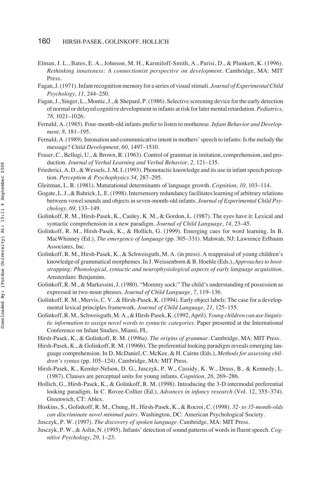- Elman, J. L., Bates, E. A., Johnson, M. H., Karmiloff-Smith, A., Parisi, D., & Plunkett, K. (1996). *Rethinking innateness: A connectionist perspective on development.* Cambridge, MA: MIT Press.
- Fagan, J. (1971). Infant recognition memory for a series of visual stimuli. *Journal of Experimental Child Psychology, 11,* 244–250.
- Fagan, J., Singer, L., Montic, J., & Shepard, P. (1986). Selective screening device for the early detection of normal or delayed cognitive development in infants at risk for later mental retardation. *Pediatrics, 78,* 1021–1026.
- Fernald, A. (1985). Four-month-old infants prefer to listen to motherese. *Infant Behavior and Development, 8,* 181–195.
- Fernald, A. (1989). Intonation and communicative intent in mothers' speech to infants: Is the melody the message? *Child Development, 60,* 1497–1510.
- Fraser, C., Bellugi, U., & Brown, R. (1963). Control of grammar in imitation, comprehension, and production. *Journal of Verbal Learning and Verbal Behavior, 2,* 121–135.
- Friederici, A. D., & Wessels, J. M. I. (1993). Phonotactic knowledge and its use in infant speech perception. *Perception & Psychophysics 54,* 287–295.
- Gleitman, L. R. (1981). Maturational determinants of language growth. *Cognition, 10,* 103–114.
- Gogate, L. J., & Bahrick, L. E. (1998). Intersensory redundancy facilitates learning of arbitrary relations between vowel sounds and objects in seven-month-old infants. *Journal of Experimental Child Psychology, 69,* 133–149.
- Golinkoff, R. M., Hirsh-Pasek, K., Cauley, K. M., & Gordon, L. (1987). The eyes have it: Lexical and syntactic comprehension in a new paradigm. *Journal of Child Language, 14,* 23–45.
- Golinkoff, R. M., Hirsh-Pasek, K., & Hollich, G. (1999). Emerging cues for word learning. In B. MacWhinney (Ed.), *The emergence of language* (pp. 305–331)*.* Mahwah, NJ: Lawrence Erlbaum Associates, Inc.
- Golinkoff, R. M., Hirsh-Pasek, K., & Schweisguth, M. A. (in press). A reappraisal of young children's knowledge of grammatical morphemes. In J. Weissenborn & B. Hoehle (Eds.), *Approaches to bootstrapping: Phonological, syntactic and neurophysiological aspects of early language acquisition.* Amsterdam: Benjamins.
- Golinkoff, R. M., & Markessini, J. (1980). "Mommy sock:" The child's understanding of possession as expressed in two-noun phrases. *Journal of Child Language, 7,* 119–136.
- Golinkoff, R. M., Mervis, C. V., & Hirsh-Pasek, K. (1994). Early object labels: The case for a developmental lexical principles framework. *Journal of Child Language, 21,* 125–155.
- Golinkoff, R. M., Schweisguth, M. A., & Hirsh-Pasek, K. (1992, April). *Young children can use linguistic information to assign novel words to syntactic categories.* Paper presented at the International Conference on Infant Studies, Miami, FL.
- Hirsh-Pasek, K., & Golinkoff, R. M. (1996a). *The origins of grammar.* Cambridge, MA: MIT Press.
- Hirsh-Pasek, K., & Golinkoff, R. M. (1996b). The preferential looking paradigm reveals emerging language comprehension. In D. McDaniel, C. McKee, & H. Cairns (Eds.), *Methods for assessing children's syntax* (pp. 105–124). Cambridge, MA: MIT Press.
- Hirsh-Pasek, K., Kemler-Nelson, D. G., Jusczyk, P. W., Cassidy, K. W., Druss, B., & Kennedy, L. (1987). Clauses are perceptual units for young infants. *Cognition, 26,* 269–286.
- Hollich, G., Hirsh-Pasek, K., & Golinkoff, R. M. (1998). Introducing the 3-D intermodal preferential looking paradigm. In C. Rovee-Collier (Ed.), *Advances in infancy research* (Vol. 12, 355–374). Greenwich, CT: Ablex.
- Hoskins, S., Golinkoff, R. M., Chung, H., Hirsh-Pasek, K., & Rocroi, C. (1998). *32- to 35-month-olds can discriminate novel minimal pairs.* Washington, DC: American Psychological Society.
- Jusczyk, P. W. (1997). *The discovery of spoken language.* Cambridge, MA: MIT Press.
- Jusczyk, P. W., & Aslin, N. (1995). Infants' detection of sound patterns of words in fluent speech. *Cognitive Psychology, 29,* 1–23.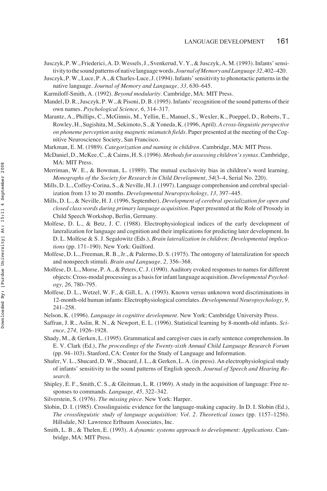- Jusczyk, P. W., Friederici, A. D. Wessels, J., Svenkerud, V. Y., & Jusczyk, A. M. (1993). Infants' sensitivitytothesoundpatternsofnativelanguagewords. *JournalofMemoryandLanguage32,*402–420.
- Jusczyk, P. W., Luce, P. A., & Charles-Luce, J. (1994). Infants' sensitivity to phonotactic patterns in the native language. *Journal of Memory and Language, 33,* 630–645.
- Karmiloff-Smith, A. (1992). *Beyond modularity.* Cambridge, MA: MIT Press.
- Mandel, D. R., Jusczyk, P. W., & Pisoni, D. B. (1995). Infants' recognition of the sound patterns of their own names. *Psychological Science, 6,* 314–317.
- Marantz, A., Phillips, C., McGinnis, M., Yellin, E., Manuel, S., Wexler, K., Poeppel, D., Roberts, T., Rowley, H., Sugishita, M., Sekimoto, S., & Yoneda, K. (1996, April). *A cross-linguistic perspective on phoneme perception using magnetic mismatch fields.* Paper presented at the meeting of the Cognitive Neuroscience Society, San Francisco.
- Markman, E. M. (1989). *Categorization and naming in children.* Cambridge, MA: MIT Press.
- McDaniel, D., McKee, C., & Cairns, H. S. (1996). *Methods for assessing children's syntax.* Cambridge, MA: MIT Press.
- Merriman, W. E., & Bowman, L. (1989). The mutual exclusivity bias in children's word learning. *Monographs of the Society for Research in Child Development, 54*(3–4, Serial No. 220).
- Mills, D. L., Coffey-Corina, S., & Neville, H. J. (1997). Language comprehension and cerebral specialization from 13 to 20 months. *Developmental Neuropsychology, 13,* 397–445.
- Mills, D. L., & Neville, H. J. (1996, September). *Development of cerebral specialization for open and closed class words during primary language acquisition.* Paper presented at the Role of Prosody in Child Speech Workshop, Berlin, Germany.
- Molfese, D. L., & Betz, J. C. (1988). Electrophysiological indices of the early development of lateralization for language and cognition and their implications for predicting later development. In D. L. Molfese & S. J. Segalowitz (Eds.), *Brain lateralization in children: Developmental implications* (pp. 171–190). New York: Guilford.
- Molfese, D. L., Freeman, R. B., Jr., & Palermo, D. S. (1975). The ontogeny of lateralization for speech and nonspeech stimuli. *Brain and Language, 2,* 356–368.
- Molfese, D. L., Morse, P. A., & Peters, C. J. (1990). Auditory evoked responses to names for different objects: Cross-modal processing as a basis for infant language acquisition. *Developmental Psychology, 26,* 780–795.
- Molfese, D. L., Wetzel, W. F., & Gill, L. A. (1993). Known versus unknown word discriminations in 12-month-old human infants: Electrophysiological correlates. *Developmental Neuropsychology, 9,* 241–258.
- Nelson, K. (1996). *Language in cognitive development.* New York: Cambridge University Press.
- Saffran, J. R., Aslin, R. N., & Newport, E. L. (1996). Statistical learning by 8-month-old infants. *Science, 274,* 1926–1928.
- Shady, M., & Gerken, L. (1995). Grammatical and caregiver cues in early sentence comprehension. In E. V. Clark (Ed.), *The proceedings of the Twenty-sixth Annual Child Language Research Forum* (pp. 94–103). Stanford, CA: Center for the Study of Language and Information.
- Shafer, V. L., Shucard, D. W., Shucard, J. L., & Gerken, L. A. (in press). An electrophysiological study of infants' sensitivity to the sound patterns of English speech. *Journal of Speech and Hearing Research.*
- Shipley, E. F., Smith, C. S., & Gleitman, L. R. (1969). A study in the acquisition of language: Free responses to commands. *Language, 45,* 322–342.
- Silverstein, S. (1976). *The missing piece.* New York: Harper.
- Slobin, D. I. (1985). Crosslinguistic evidence for the language-making capacity. In D. I. Slobin (Ed.), *The crosslinguistic study of language acquisition: Vol. 2. Theoretical issues* (pp. 1157–1256). Hillsdale, NJ: Lawrence Erlbaum Associates, Inc.
- Smith, L. B., & Thelen, E. (1993). *A dynamic systems approach to development: Applications.* Cambridge, MA: MIT Press.